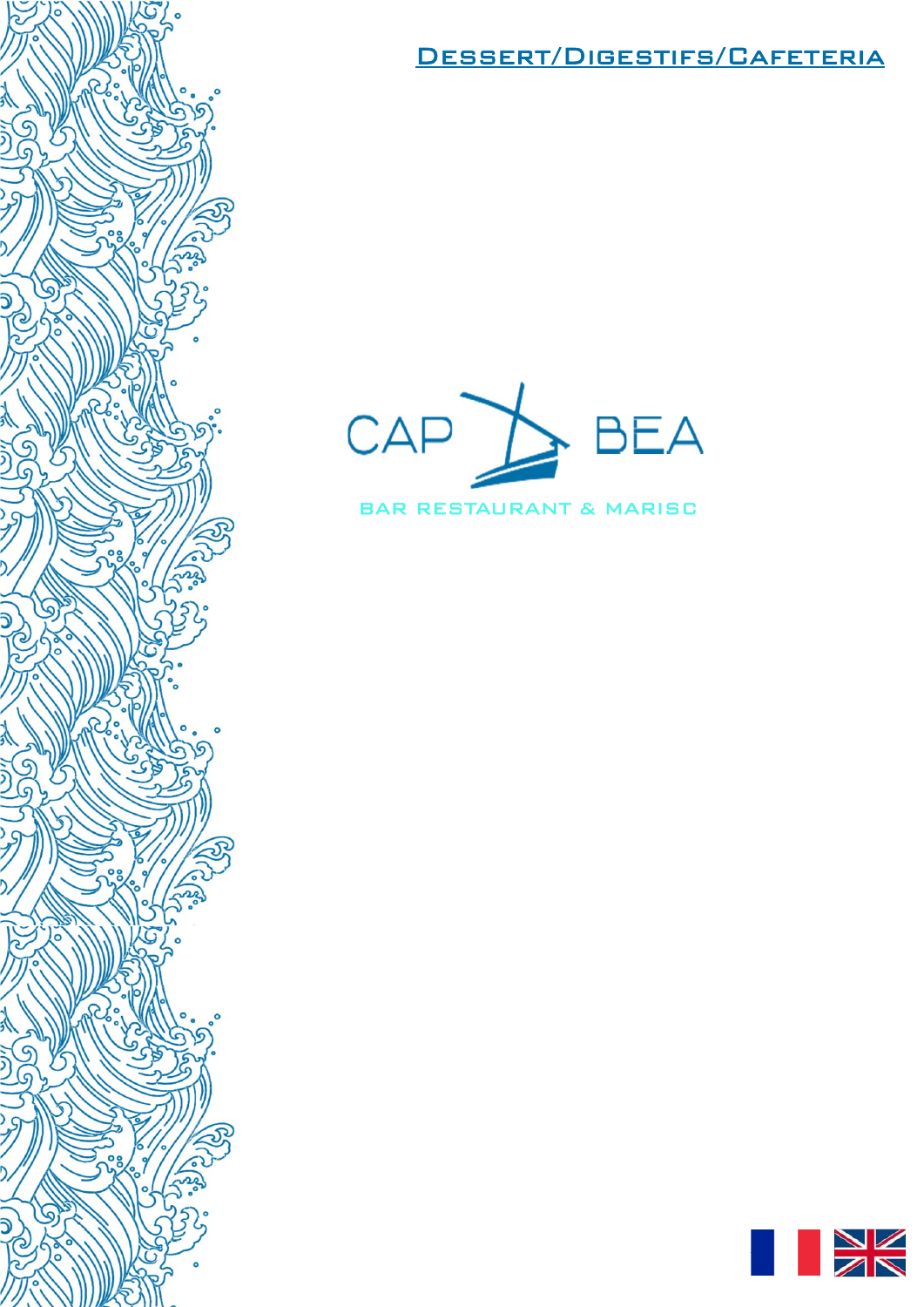



 $\varsigma$ 

 $\varsigma$ 

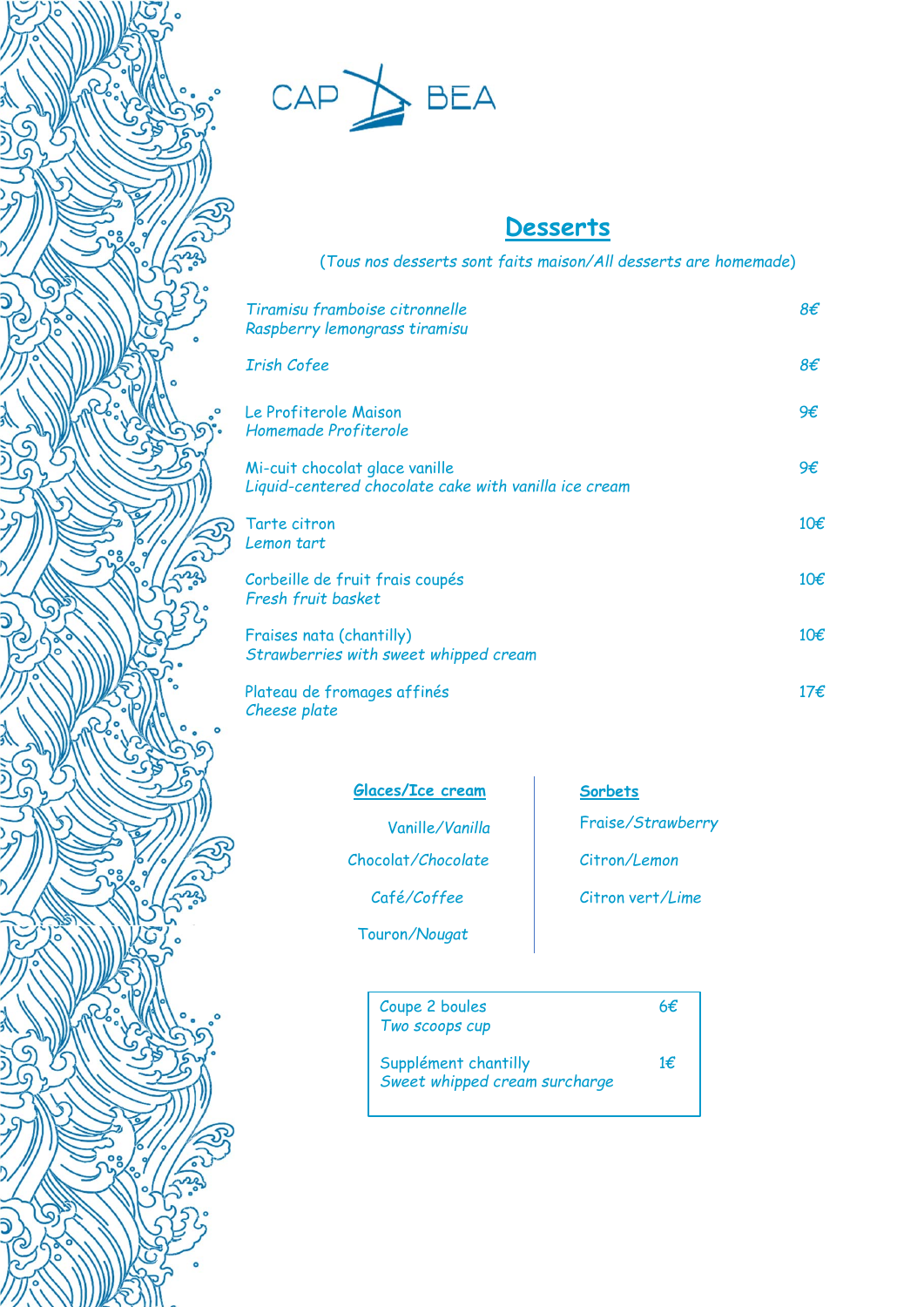



# **Desserts**

(*Tous nos desserts sont faits maison/All desserts are homemade*)

| Tiramisu framboise citronnelle<br>Raspberry lemongrass tiramisu                         | 8€  |
|-----------------------------------------------------------------------------------------|-----|
| Irish Cofee                                                                             | 8€  |
| Le Profiterole Maison<br>Homemade Profiterole                                           | 9€  |
| Mi-cuit chocolat glace vanille<br>Liquid-centered chocolate cake with vanilla ice cream | 9€  |
| Tarte citron<br>Lemon tart                                                              | 10€ |
| Corbeille de fruit frais coupés<br>Fresh fruit basket                                   | 10€ |
| Fraises nata (chantilly)<br>Strawberries with sweet whipped cream                       | 10€ |
| Plateau de fromages affinés<br>Cheese plate                                             | 17€ |

| Glaces/Ice cream   | <b>Sorbets</b>    |
|--------------------|-------------------|
| Vanille/Vanilla    | Fraise/Strawberry |
| Chocolat/Chocolate | Citron/Lemon      |
| Café/Coffee        | Citron vert/Lime  |
| Touron/Nougat      |                   |
|                    |                   |
| Coupe 2 boules     |                   |

*Two scoops cup* Supplément chantilly 1€

*Sweet whipped cream surcharge*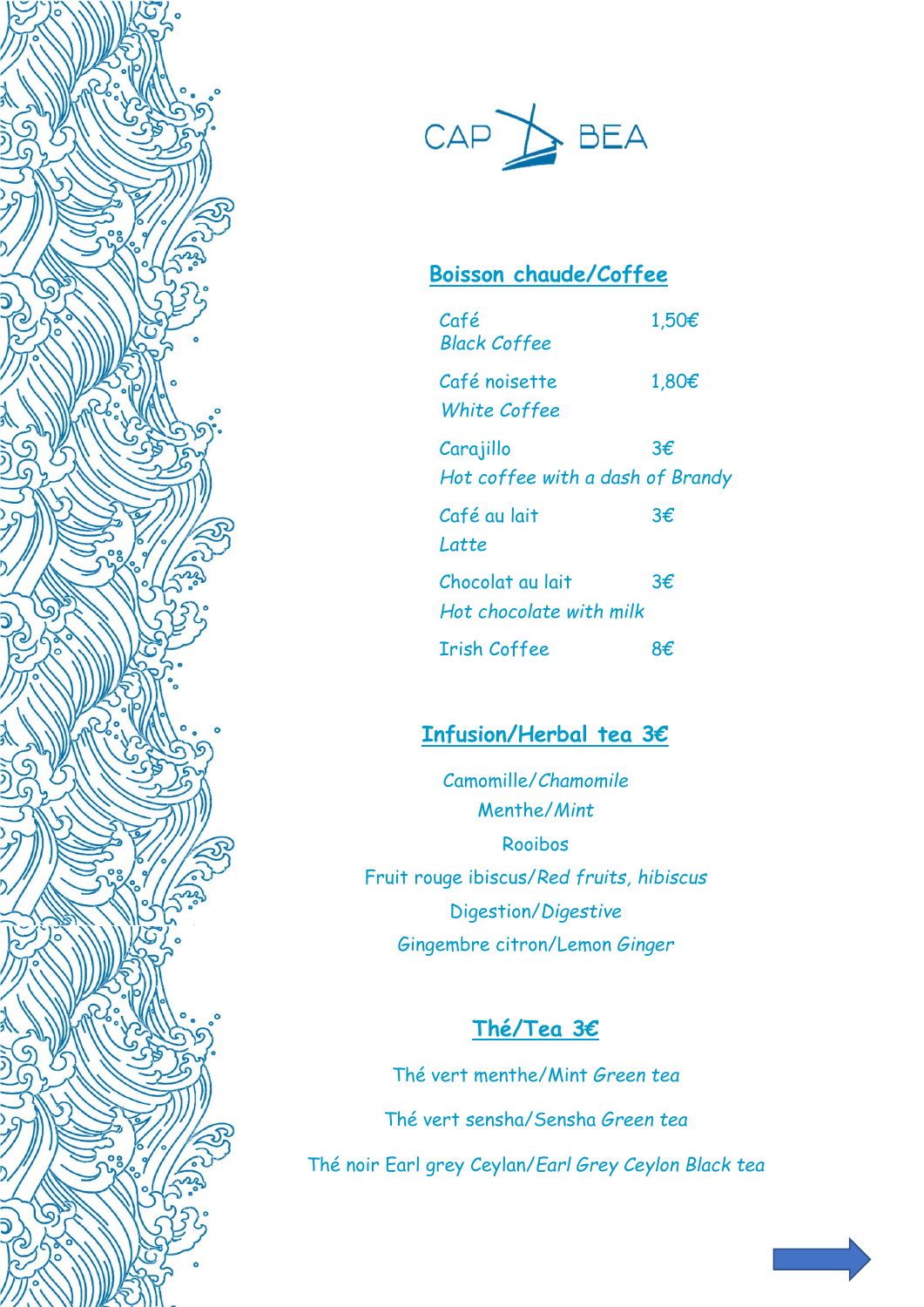



# **Boisson chaude/Coffee**

| Café<br><b>Black Coffee</b>                   | 1,50€ |
|-----------------------------------------------|-------|
| Café noisette<br>White Coffee                 | 1,80€ |
| Carajillo<br>Hot coffee with a dash of Brandy | 3€    |
| Café au lait<br>Latte                         | 3€    |
| Chocolat au lait<br>Hot chocolate with milk   | 3€    |
| <b>Irish Coffee</b>                           | X€    |

### **Infusion/Herbal tea 3€**

Camomille/*Chamomile* Menthe/*Mint* Rooibos Fruit rouge ibiscus/*Red fruits, hibiscus* Digestion/*Digestive* Gingembre citron/Lemon *Ginger*

# **Thé/Tea 3€**

Thé vert menthe/Mint *Green tea* Thé vert sensha/Sensha *Green tea* Thé noir Earl grey Ceylan/*Earl Grey Ceylon Black tea*